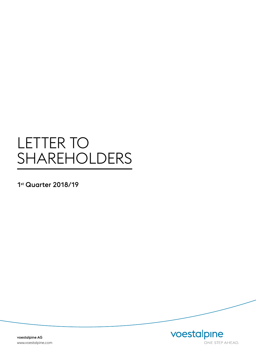# LETTER TO SHAREHOLDERS

1st Quarter 2018/19

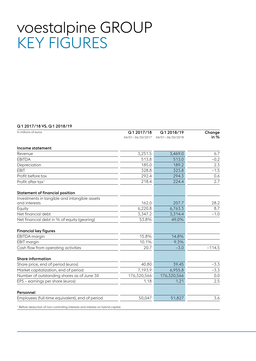# voestalpine GROUP KEY FIGURES

### Q1 2017/18 VS. Q1 2018/19

| In millions of euros                                                                       | Q12017/18        | Q12018/19        | Change   |
|--------------------------------------------------------------------------------------------|------------------|------------------|----------|
|                                                                                            | 04/01-06/30/2017 | 04/01-06/30/2018 | in %     |
| Income statement                                                                           |                  |                  |          |
| Revenue                                                                                    | 3,251.5          | 3,469.0          | 6.7      |
| <b>EBITDA</b>                                                                              | 513.8            | 513.0            | $-0.2$   |
| Depreciation                                                                               | 185.0            | 189.2            | 2.3      |
| EBIT                                                                                       | 328.8            | 323.8            | $-1.5$   |
| Profit before tax                                                                          | 292.4            | 294.3            | 0.6      |
| Profit after tax <sup>1</sup>                                                              | 218.4            | 224.4            | 2.7      |
| <b>Statement of financial position</b>                                                     |                  |                  |          |
| Investments in tangible and intangible assets                                              |                  |                  |          |
| and interests                                                                              | 162.0            | 207.7            | 28.2     |
| Equity                                                                                     | 6,220.8          | 6,763.3          | 8.7      |
| Net financial debt                                                                         | 3,347.2          | 3,314.4          | $-1.0$   |
| Net financial debt in % of equity (gearing)                                                | 53.8%            | 49.0%            |          |
| <b>Financial key figures</b>                                                               |                  |                  |          |
| EBITDA margin                                                                              | 15.8%            | 14.8%            |          |
| <b>EBIT</b> margin                                                                         | 10.1%            | 9.3%             |          |
| Cash flow from operating activities                                                        | 20.7             | $-3.0$           | $-114.5$ |
| <b>Share information</b>                                                                   |                  |                  |          |
| Share price, end of period (euros)                                                         | 40.80            | 39.45            | $-3.3$   |
| Market capitalization, end of period                                                       | 7,193.9          | 6,955.8          | $-3.3$   |
| Number of outstanding shares as of June 30                                                 | 176,320,566      | 176,320,566      | 0.0      |
| EPS - earnings per share (euros)                                                           | 1.18             | 1.21             | 2.5      |
| Personnel                                                                                  |                  |                  |          |
| Employees (full-time equivalent), end of period                                            | 50,047           | 51,827           | 3.6      |
| <sup>1</sup> Before deduction of non-controlling interests and interest on hybrid capital. |                  |                  |          |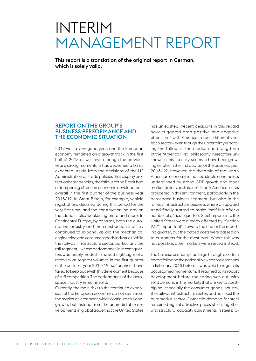# INTERIM MANAGEMENT REPORT

This report is a translation of the original report in German, which is solely valid.

## REPORT ON THE GROUP'S BUSINESS PERFORMANCE AND THE ECONOMIC SITUATION

2017 was a very good year, and the European economy remained on a growth track in the first half of 2018 as well, even though the previous year's strong momentum has weakened a bit as expected. Aside from the decisions of the US Administration on trade policies that display protectionist tendencies, the fallout of the Brexit had a dampening effect on economic developments overall in the first quarter of the business year 2018/19. In Great Britain, for example, vehicle registrations declined during this period for the very first time, and the construction industry on the island is also weakening more and more. In Continental Europe, by contrast, both the automotive industry and the construction industry continued to expand, as did the mechanical engineering and consumer goods industries. While the railway infrastructure sector, particularly the rail segment—whose performance in recent quarters was merely modest—showed slight signs of a recovery as regards volumes in the first quarter of the business year 2018/19, so far prices have failed to keep pace with this development because of stiff competition. The performance of the aerospace industry remains solid.

Currently, the main risks to the continued expansion of the European economy do not stem from the market environment, which continues to signal growth, but instead from the unpredictable developments in global trade that the United States

has unleashed. Recent decisions in this regard have triggered both positive and negative effects in North America—albeit differently for each sector—even though the uncertainty regarding the fallout in the medium and long term of the "America First" philosophy, heretofore unknown in this intensity, seems to have been growing of late. In the first quarter of the business year 2018/19, however, the dynamic of the North American economy remained stable nonetheless underpinned by strong GDP growth and labor market data. voestalpine's North American sites prospered in this environment, particularly in the aerospace business segment, but also in the railway infrastructure business where an upward trend finally started to make itself felt after a number of difficult quarters. Steel imports into the United States were already affected by "Section 232" import tariffs toward the end of the reporting quarter, but the added costs were passed on to customers for the most part. Where this was not possible, other markets were served instead.

The Chinese economy had to go through a certain restart following the national New Year celebrations in February 2018 before it was able to regain its accustomed momentum. It returned to its robust development before the spring was out, with solid demand in the markets that are key to voestalpine, especially the consumer goods industry, the railway infrastructure sector, and not least the automotive sector. Domestic demand for steel remained high at attractive prices which, together with structural capacity adjustments in steel pro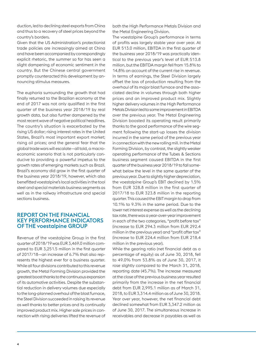duction, led to declining steel exports from China and thus to a recovery of steel prices beyond the country's borders.

Given that the US Administration's protectionist trade policies are increasingly aimed at China and have been accompanied by correspondingly explicit rhetoric, the summer so far has seen a slight dampening of economic sentiment in the country. But the Chinese central government promptly counteracted this development by announcing stimulus measures.

The euphoria surrounding the growth that had finally returned to the Brazilian economy at the end of 2017 was not only qualified in the first quarter of the business year 2018/19 by real growth data, but also further dampened by the most recent wave of negative political headlines. The country's situation is exacerbated by the rising US dollar; rising interest rates in the United States, Brazil's most important export market; rising oil prices; and the general fear that the global trade wars will escalate—all told, a macroeconomic scenario that is not particularly conducive to providing a powerful impetus to the growth rates of emerging markets such as Brazil. Brazil's economy did grow in the first quarter of the business year 2018/19, however, which also benefitted voestalpine's local activities in the tool steel and special materials business segments as well as in the railway infrastructure and special sections business.

## REPORT ON THE FINANCIAL KEY PERFORMANCE INDICATORS OF THE voestalpine GROUP

Revenue of the voestalpine Group in the first quarter of 2018/19 was EUR 3,469.0 million compared to EUR 3,251.5 million in the first quarter of 2017/18—an increase of 6.7% that also represents the highest ever for a business quarter. While all four divisions contributed to this revenue growth, the Metal Forming Division provided the greatest boost thanks to the continuous expansion of its automotive activities. Despite the substantial reduction in delivery volumes due especially to the long-planned overhaul of the blast furnace, the Steel Division succeeded in raising its revenue as well thanks to better prices and its continually improved product mix. Higher sale prices in connection with rising deliveries lifted the revenue of both the High Performance Metals Division and the Metal Engineering Division.

The voestalpine Group's performance in terms of profits was largely stable year over year. At EUR 513.0 million, EBITDA in the first quarter of the business year 2018/19 was practically identical to the previous year's level of EUR 513.8 million, but the EBITDA margin fell from 15.8% to 14.8% on account of the current rise in revenue. In terms of earnings, the Steel Division largely offset the loss of production resulting from the overhaul of its major blast furnace and the associated decline in volumes through both higher prices and an improved product mix. Slightly higher delivery volumes in the High Performance Metals Division led to some improvement in EBITDA over the previous year. The Metal Engineering Division boosted its operating result primarily thanks to the good performance of the wire segment following the start-up losses the division incurred in the same period of the previous year in connection with the new rolling mill. In the Metal Forming Division, by contrast, the slightly weaker operating performance of the Tubes & Sections business segment caused EBITDA in the first quarter of the business year 2018/19 to fall somewhat below the level in the same quarter of the previous year. Due to slightly higher depreciation, the voestalpine Group's EBIT declined by 1.5% from EUR 328.8 million in the first quarter of 2017/18 to EUR 323.8 million in the reporting quarter. This caused the EBIT margin to drop from 10.1% to 9.3% in the same period. Due to the lower net interest expense as well as the declining tax rate, there was a year-over-year improvement in each of the two categories, "profit before tax" (increase to EUR 294.3 million from EUR 292.4 million in the previous year) and "profit after tax" (increase to EUR 224.4 million from EUR 218.4 million in the previous year).

While the gearing ratio (net financial debt as a percentage of equity) as of June 30, 2018, fell to 49.0% from 53.8% as of June 30, 2017, it rose slightly compared to the March 31, 2018, reporting date (45.7%). The increase measured at the close of the previous business year resulted primarily from the increase in the net financial debt from EUR 2,995.1 million as of March 31, 2018, to EUR 3,314.4 million as of June 30, 2018. Year over year, however, the net financial debt declined somewhat from EUR 3,347.2 million as of June 30, 2017. The simultaneous increase in receivables and decrease in payables as well as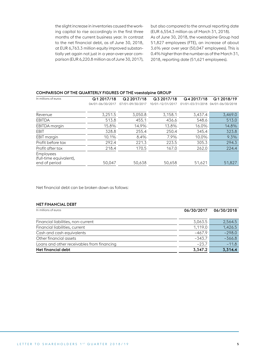the slight increase in inventories caused the working capital to rise accordingly in the first three months of the current business year. In contrast to the net financial debt, as of June 30, 2018, at EUR 6,763.3 million equity improved substantially yet again not just in a year-over-year comparison (EUR 6,220.8 million as of June 30, 2017), but also compared to the annual reporting date (EUR 6,554.3 million as of March 31, 2018). As of June 30, 2018, the voestalpine Group had 51,827 employees (FTE), an increase of about 3.6% year over year (50,047 employees). This is 0.4% higher than the number as of the March 31, 2018, reporting date (51,621 employees).

#### COMPARISON OF THE QUARTERLY FIGURES OF THE voestalpine GROUP

| In millions of euros                        | Q12017/18        | Q2 2017/18       | Q3 2017/18       | Q4 2017/18       | Q1 2018/19       |
|---------------------------------------------|------------------|------------------|------------------|------------------|------------------|
|                                             | 04/01-06/30/2017 | 07/01-09/30/2017 | 10/01-12/31/2017 | 01/01-03/31/2018 | 04/01-06/30/2018 |
| Revenue                                     | 3,251.5          | 3.050.8          | 3,158.1          | 3,437.4          | 3,469.0          |
| <b>EBITDA</b>                               | 513.8            | 455.1            | 436.6            | 548.6            | 513.0            |
| EBITDA margin                               | 15.8%            | 14.9%            | 13.8%            | 16.0%            | 14.8%            |
| EBIT                                        | 328.8            | 255.4            | 250.4            | 345.4            | 323.8            |
| EBIT margin                                 | 10.1%            | 8.4%             | 7.9%             | 10.0%            | 9.3%             |
| Profit before tax                           | 292.4            | 221.3            | 223.5            | 305.3            | 294.3            |
| Profit after tax                            | 218.4            | 170.5            | 167.0            | 262.0            | 224.4            |
| <b>Employees</b><br>(full-time equivalent), |                  |                  |                  |                  |                  |
| end of period                               | 50.047           | 50,638           | 50,658           | 51,621           | 51,827           |

Net financial debt can be broken down as follows:

## NET FINANCIAL DEBT

| In millions of euros                       | 06/30/2017 | 06/30/2018 |
|--------------------------------------------|------------|------------|
| Financial liabilities, non-current         | 3,063.5    | 2,564.5    |
| Financial liabilities, current             | 1.119.0    | 1,426.5    |
| Cash and cash equivalents                  | $-467.9$   | $-298.0$   |
| Other financial assets                     | $-343.7$   | $-366.8$   |
| Loans and other receivables from financing | $-23.7$    | $-11.8$    |
| Net financial debt                         | 3,347.2    | 3,314.4    |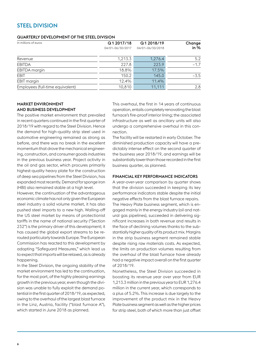## STEEL DIVISION

#### QUARTERLY DEVELOPMENT OF THE STEEL DIVISION

| In millions of euros             | Q1 2017/18       | Q12018/19        | Change |
|----------------------------------|------------------|------------------|--------|
|                                  | 04/01-06/30/2017 | 04/01-06/30/2018 | in $%$ |
| Revenue                          | 1,213.3          | 1,276.4          | 5.2    |
| <b>EBITDA</b>                    | 227.8            | 223.9            | $-1.7$ |
| EBITDA margin                    | 18.8%            | 17.5%            |        |
| <b>EBIT</b>                      | 150.2            | 145.0            | $-3.5$ |
| EBIT margin                      | 12.4%            | 11.4%            |        |
| Employees (full-time equivalent) | 10,810           | 11.111           | 2.8    |
|                                  |                  |                  |        |

### MARKET ENVIRONMENT AND BUSINESS DEVELOPMENT

The positive market environment that prevailed in recent quarters continued in the first quarter of 2018/19 with regard to the Steel Division. Hence the demand for high-quality strip steel used in automotive engineering remained as strong as before, and there was no break in the excellent momentum that drove the mechanical engineering, construction, and consumer goods industries in the previous business year. Project activity in the oil and gas sector, which procures primarily highest-quality heavy plate for the construction of deep sea pipelines from the Steel Division, has expanded most recently. Demand for sponge iron (HBI) also remained stable at a high level.

However, the continuation of the advantageous economic climate has not only given the European steel industry a solid volume market, it has also pushed steel imports to a new high. Walling-off the US steel market by means of protectionist tariffs in the name of national security ("Section 232") is the primary driver of this development; it has caused the global export streams to be rerouted particularly towards Europe. The European Commission has reacted to this development by adopting "Safeguard Measures," which lead us to expect that imports will be relaxed, as is already happening.

In the Steel Division, the ongoing stability of the market environment has led to the continuation, for the most part, of the highly pleasing earnings growth in the previous year, even though the division was unable to fully exploit the demand potential in the first quarter of 2018/19, as expected, owing to the overhaul of the largest blast furnace in the Linz, Austria, facility ("blast furnace A"), which started in June 2018 as planned.

This overhaul, the first in 14 years of continuous operation, entails completely renovating the blast furnace's fire-proof interior lining; the associated infrastructure as well as ancillary units will also undergo a comprehensive overhaul in this connection.

The facility will be restarted in early October. The diminished production capacity will have a predictably intense effect on the second quarter of the business year 2018/19, and earnings will be substantially lower than those recorded in the first business quarter, as planned.

#### FINANCIAL KEY PERFORMANCE INDICATORS

A year-over-year comparison by quarter shows that the division succeeded in keeping its key performance indicators stable despite the initial negative effects from the blast furnace repairs. The Heavy Plate business segment, which is engaged mainly in the energy industry (oil and natural gas pipelines), succeeded in delivering significant increases in both revenue and results in the face of declining volumes thanks to the substantially higher quality of its product mix. Margins in the strip business segment remained stable despite rising raw materials costs. As expected, the limits on production volumes resulting from the overhaul of the blast furnace have already had a negative impact overall on the first quarter of 2018/19.

Nonetheless, the Steel Division succeeded in boosting its revenue year over year from EUR 1,213.3 million in the previous year to EUR 1,276.4 million in the current year, which corresponds to a plus of 5.2%. This increase is due largely to the improvement of the product mix in the Heavy Plate business segment as well as the higher prices for strip steel, both of which more than just offset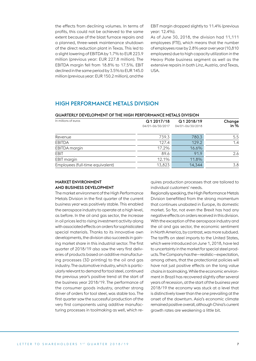the effects from declining volumes. In terms of profits, this could not be achieved to the same extent because of the blast furnace repairs and a planned, three-week maintenance shutdown of the direct reduction plant in Texas. This led to a slight lowering of EBITDA by 1.7% to EUR 223.9 million (previous year: EUR 227.8 million). The EBITDA margin fell from 18.8% to 17.5%. EBIT declined in the same period by 3.5% to EUR 145.0 million (previous year: EUR 150.2 million), and the

EBIT margin dropped slightly to 11.4% (previous year: 12.4%).

As of June 30, 2018, the division had 11,111 employees (FTE), which means that the number of employees rose by 2.8% year over year (10,810 employees) due to high capacity utilization in the Heavy Plate business segment as well as the extensive repairs in both Linz, Austria, and Texas, USA.

## HIGH PERFORMANCE METALS DIVISION

| <u>WUANTENET DEVELUPINENT UP THE HIUH PENFUNNANCE METALS DIVISIUN</u> |                  |                  |        |  |
|-----------------------------------------------------------------------|------------------|------------------|--------|--|
| In millions of euros                                                  | Q1 2017/18       | Q12018/19        | Change |  |
|                                                                       | 04/01-06/30/2017 | 04/01-06/30/2018 | in $%$ |  |
| Revenue                                                               | 739.3            | 780.3            | 5.5    |  |
| <b>EBITDA</b>                                                         | 127.4            | 129.2            | 1.4    |  |
| EBITDA margin                                                         | 17.2%            | 16.6%            |        |  |
| EBIT                                                                  | 89.6             | 91.9             | 2.6    |  |
| <b>EBIT</b> margin                                                    | 12.1%            | 11.8%            |        |  |
| Employees (full-time equivalent)                                      | 13,823           | 14.344           | 3.8    |  |

## QUARTERLY DEVELOPMENT OF THE HIGH PERFORMANCE METALS DIVISION

#### MARKET ENVIRONMENT AND BUSINESS DEVELOPMENT

The market environment of the High Performance Metals Division in the first quarter of the current business year was positively stable. This enabled the aerospace industry to operate at a high level, as before. In the oil and gas sector, the increase in oil prices led to rising investment activity along with associated effects on orders for sophisticated special materials. Thanks to its innovative own developments, the division also succeeds in gaining market share in this industrial sector. The first quarter of 2018/19 also saw the very first deliveries of products based on additive manufacturing processes (3D printing) to the oil and gas industry. The automotive industry, which is particularly relevant to demand for tool steel, continued the previous year's positive trend at the start of the business year 2018/19. The performance of the consumer goods industry, another strong driver of orders for tool steel, was stable too. The first quarter saw the successful production of the very first components using additive manufacturing processes in toolmaking as well, which requires production processes that are tailored to individual customers' needs.

Regionally speaking, the High Performance Metals Division benefitted from the strong momentum that continues unabated in Europe, its domestic market. So far, not even the Brexit has had any negative effects on orders received in this division. With the exception of the aerospace industry and the oil and gas sector, the economic sentiment in North America, by contrast, was more subdued. The tariffs on steel imports to the United States, which were introduced on June 1, 2018, have led to uncertainty in the market for special steel products. The Company has the—realistic—expectation, among others, that the protectionist policies will have not just positive effects on the long value chains in toolmaking. While the economic environment in Brazil has recovered slightly after several years of recession, at the start of the business year 2018/19 the economy was stuck at a level that is distinctively lower than the one prevailing at the onset of the downturn. Asia's economic climate remained positive overall, although China's current growth rates are weakening a little bit.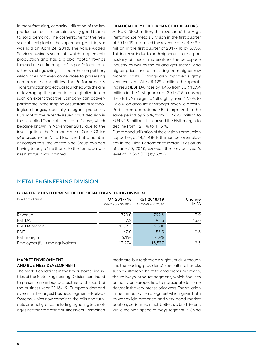In manufacturing, capacity utilization of the key production facilities remained very good thanks to solid demand. The cornerstone for the new special steel plant at the Kapfenberg, Austria, site was laid on April 24, 2018. The Value Added Services business segment—which supplements production and has a global footprint—has focused the entire range of its portfolio on consistently distinguishing itself from the competition, which does not even come close to possessing comparable capabilities. The Performance & Transformation project was launched with the aim of leveraging the potential of digitalization to such an extent that the Company can actively participate in the shaping of substantial technological changes, especially as regards processes. Pursuant to the recently issued court decision in the so-called "special steel cartel" case, which became known in November 2015 due to the investigations the German Federal Cartel Office *(Bundeskartellamt)* had launched at a number of competitors, the voestalpine Group avoided having to pay a fine thanks to the "principal witness" status it was granted.

### FINANCIAL KEY PERFORMANCE INDICATORS

At EUR 780.3 million, the revenue of the High Performance Metals Division in the first quarter of 2018/19 surpassed the revenue of EUR 739.3 million in the first quarter of 2017/18 by 5.5%. This increase is due to both higher unit sales—particularly of special materials for the aerospace industry as well as the oil and gas sector—and higher prices overall resulting from higher raw material costs. Earnings also improved slightly year over year. At EUR 129.2 million, the operating result (EBITDA) rose by 1.4% from EUR 127.4 million in the first quarter of 2017/18, causing the EBITDA margin to fall slightly from 17.2% to 16.6% on account of stronger revenue growth. Profit from operations (EBIT) improved in the same period by 2.6%, from EUR 89.6 million to EUR 91.9 million. This caused the EBIT margin to decline from 12.1% to 11.8%.

Due to good utilization of the division's production capacities, at 14,344 (FTE) the number of employees in the High Performance Metals Division as of June 30, 2018, exceeds the previous year's level of 13,823 (FTE) by 3.8%.

## METAL ENGINEERING DIVISION

#### QUARTERLY DEVELOPMENT OF THE METAL ENGINEERING DIVISION

| Q1 2017/18       | Q1 2018/19       | Change |
|------------------|------------------|--------|
| 04/01-06/30/2017 | 04/01-06/30/2018 | in $%$ |
| 770.0            | 799.8            | 3.9    |
| 87.2             | 98.5             | 13.0   |
| 11.3%            | 12.3%            |        |
| 47.0             | 56.3             | 19.8   |
| 6.1%             | 7.0%             |        |
| 13,274           | 13,577           | 2.3    |
|                  |                  |        |

#### MARKET ENVIRONMENT AND BUSINESS DEVELOPMENT

The market conditions in the key customer industries of the Metal Engineering Division continued to present an ambiguous picture at the start of the business year 2018/19. European demand overall in the largest business segment—Railway Systems, which now combines the rails and turnouts product groups including signaling technology since the start of the business year—remained

moderate, but registered a slight uptick. Although it is the leading provider of specialty rail tracks such as ultralong, heat-treated premium grades, the railways product segment, which focuses primarily on Europe, had to participate to some degree in the very intense price wars. The situation in the Turnout Systems segment which, given both its worldwide presence and very good market position, performed much better, is a bit different. While the high-speed railways segment in China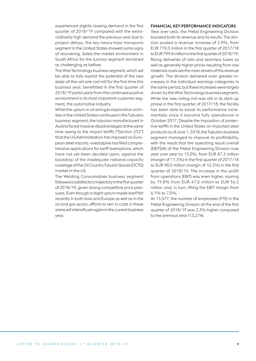experienced slightly slowing demand in the first quarter of 2018/19 compared with the extraordinarily high demand the previous year due to project delays, the key heavy-haul transports segment in the United States showed some signs of recovering. Solely the market environment in South Africa for the turnout segment remained as challenging as before.

The Wire Technology business segment, which will be able to fully exploit the potential of the new state-of-the-art wire rod mill for the first time this business year, benefitted in the first quarter of 2018/19 particularly from the continued positive environment in its most important customer segment, the automotive industry.

While the upturn in oil and gas exploration activities in the United States continued in the Tubulars business segment, the tubulars manufactured in Austria faced massive disadvantages at the same time owing to the import tariffs ("Section 232") that the US Administration has imposed on European steel imports. voestalpine has filed comprehensive applications for tariff exemptions, which have not yet been decided upon, against the backdrop of the inadequate national capacity coverage of the Oil Country Tubular Goods (OCTG) market in the US.

The Welding Consumables business segment followed a satisfactory trajectory in the first quarter of 2018/19, given strong competitive price pressures. Even though a slight upturn made itself felt recently in both Asia and Europe as well as in the oil and gas sector, efforts to rein in costs in these areas will intensify yet again in the current business year.

#### FINANCIAL KEY PERFORMANCE INDICATORS

Year over year, the Metal Engineering Division boosted both its revenue and its results. The division posted a revenue increase of 3.9%, from EUR 770.0 million in the first quarter of 2017/18 to EUR 799.8 million in the first quarter of 2018/19. Rising deliveries of rails and seamless tubes as well as generally higher prices resulting from raw materials costs are the main drivers of this revenue growth. The division delivered even greater increases in the individual earnings categories in the same period, but these increases were largely driven by the Wire Technology business segment. While the new rolling mill was still in its start-up phase in the first quarter of 2017/18, the facility has been able to boost its performance incrementally since it became fully operational in October 2017. Despite the imposition of protective tariffs in the United States on imported steel products as of June 1, 2018, the Tubulars business segment managed to improve its profitability, with the result that the operating result overall (EBITDA) of the Metal Engineering Division rose year over year by 13.0%, from EUR 87.2 million (margin of 11.3%) in the first quarter of 2017/18 to EUR 98.5 million (margin of 12.3%) in the first quarter of 2018/19. The increase in the profit from operations (EBIT) was even higher, soaring by 19.8% from EUR 47.0 million to EUR 56.3 million and, in turn, lifting the EBIT margin from 6.1% to 7.0%.

At 13,577, the number of employees (FTE) in the Metal Engineering Division at the end of the first quarter of 2018/19 was 2.3% higher compared to the previous year (13,274).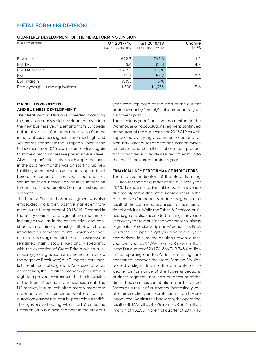## METAL FORMING DIVISION

#### QUARTERLY DEVELOPMENT OF THE METAL FORMING DIVISION

| In millions of euros             | Q12017/18        | Q12018/19        | Change |
|----------------------------------|------------------|------------------|--------|
|                                  | 04/01-06/30/2017 | 04/01-06/30/2018 | in $%$ |
| Revenue                          | 672.7            | 748.0            | 11.2   |
| <b>EBITDA</b>                    | 88.6             | 84.4             | $-4.7$ |
| <b>EBITDA</b> margin             | 13.2%            | 11.3%            |        |
| EBIT                             | 61.3             | 55.7             | $-9.1$ |
| EBIT margin                      | 9.1%             | 7.5%             |        |
| Employees (full-time equivalent) | 11,300           | 11,938           | 5.6    |

### MARKET ENVIRONMENT AND BUSINESS DEVELOPMENT

The Metal Forming Division succeeded in carrying the previous year's solid development over into the new business year. Demand from European automotive manufacturers (the division's most important customer segment) remained high, and vehicle registrations in the European Union in the first six months of 2018 rose by some 3% yet again from the already impressive previous year's level. At voestalpine's sites outside of Europe, the focus in the past few months was on starting up new facilities, some of which will be fully operational before the current business year is out and thus should have an increasingly positive impact on the results of the Automotive Components business segment.

The Tubes & Sections business segment was also embedded in a largely positive market environment in the first quarter of 2018/19. Demand in the utility vehicles and agricultural machinery industry as well as in the construction and construction machinery industry—all of which are important customer segments—which was characterized by rising orders in the past business year remained mainly stable. Regionally speaking, with the exception of Great Britain (which is increasingly losing its economic momentum due to the negative Brexit vote) our European core markets exhibited stable growth. After several years of recession, the Brazilian economy presented a slightly improved environment for the local sites of the Tubes & Sections business segment. The US market, in turn, exhibited merely moderate order activity that remained volatile as well as distortions caused not least by protectionist tariffs. The signs of overheating, which had affected the Precision Strip business segment in the previous year, were replaced at the start of the current business year by "merely" solid order activity on customer's part.

The previous years' positive momentum in the Warehouse & Rack Solutions segment continued at the start of the business year 2018/19 as well. Supported by strong e-commerce demand for high-bay warehouses and storage systems, which remains unabated, full utilization of our production capacities is already assured at least up to the end of the current business year.

#### FINANCIAL KEY PERFORMANCE INDICATORS

The financial indicators of the Metal Forming Division for the first quarter of the business year 2018/19 show a substantial increase in revenue due mainly to the distinctive improvement in the Automotive Components business segment as a result of the continued expansion of its international activities. While the Tubes & Sections business segment also succeeded in lifting its revenue year over year, revenue in the two smaller business segments—Precision Strip and Warehouse & Rack Solutions—dropped slightly in a year-over-year comparison. In sum, the division's revenue rose year over year by 11.2% from EUR 672.7 million in the first quarter of 2017/18 to EUR 748.0 million in the reporting quarter. As far as earnings are concerned, however, the Metal Forming Division posted a slight decline due primarily to the weaker performance of the Tubes & Sections business segment—not least on account of the diminished earnings contribution from the United States as a result of customers' increasingly volatile order activity since protectionist tariffs were introduced. Against this backdrop, the operating result (EBITDA) fell by 4.7% from EUR 88.6 million (margin of 13.2%) in the first quarter of 2017/18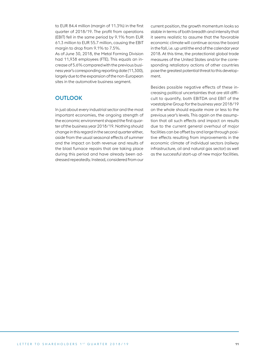to EUR 84.4 million (margin of 11.3%) in the first quarter of 2018/19. The profit from operations (EBIT) fell in the same period by 9.1% from EUR 61.3 million to EUR 55.7 million, causing the EBIT margin to drop from 9.1% to 7.5%.

As of June 30, 2018, the Metal Forming Division had 11,938 employees (FTE). This equals an increase of 5.6% compared with the previous business year's corresponding reporting date (11,300), largely due to the expansion of the non-European sites in the automotive business segment.

## **OUTLOOK**

In just about every industrial sector and the most important economies, the ongoing strength of the economic environment shaped the first quarter of the business year 2018/19. Nothing should change in this regard in the second quarter either, aside from the usual seasonal effects of summer and the impact on both revenue and results of the blast furnace repairs that are taking place during this period and have already been addressed repeatedly. Instead, considered from our

current position, the growth momentum looks so stable in terms of both breadth and intensity that it seems realistic to assume that the favorable economic climate will continue across the board in the fall, i.e. up until the end of the calendar year 2018. At this time, the protectionist global trade measures of the United States and/or the corresponding retaliatory actions of other countries pose the greatest potential threat to this development.

Besides possible negative effects of these increasing political uncertainties that are still difficult to quantify, both EBITDA and EBIT of the voestalpine Group for the business year 2018/19 on the whole should equate more or less to the previous year's levels. This again on the assumption that all such effects and impact on results due to the current general overhaul of major facilities can be offset by and large through positive effects resulting from improvements in the economic climate of individual sectors (railway infrastructure, oil and natural gas sector) as well as the successful start-up of new major facilities.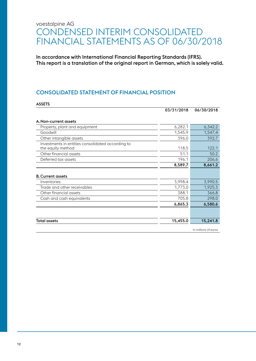# voestalpine AG CONDENSED INTERIM CONSOLIDATED FINANCIAL STATEMENTS AS OF 06/30/2018

In accordance with International Financial Reporting Standards (IFRS). This report is a translation of the original report in German, which is solely valid.

## CONSOLIDATED STATEMENT OF FINANCIAL POSITION

|                                                                        | 03/31/2018 | 06/30/2018           |
|------------------------------------------------------------------------|------------|----------------------|
| A. Non-current assets                                                  |            |                      |
| Property, plant and equipment                                          | 6,282.1    | 6,342.2              |
| Goodwill                                                               | 1,545.9    | 1,547.4              |
| Other intangible assets                                                | 396.0      | 392.7                |
| Investments in entities consolidated according to<br>the equity method | 118.5      | 122.1                |
| Other financial assets                                                 | 51.1       | 50.2                 |
| Deferred tax assets                                                    | 196.1      | 206.6                |
|                                                                        | 8,589.7    | 8,661.2              |
| <b>B. Current assets</b>                                               |            |                      |
| Inventories                                                            | 3,998.4    | 3,990.5              |
| Trade and other receivables                                            | 1,773.0    | 1,925.3              |
| Other financial assets                                                 | 388.1      | 366.8                |
| Cash and cash equivalents                                              | 705.8      | 298.0                |
|                                                                        | 6,865.3    | 6,580.6              |
|                                                                        |            |                      |
| <b>Total assets</b>                                                    | 15,455.0   | 15,241.8             |
|                                                                        |            | In millions of euros |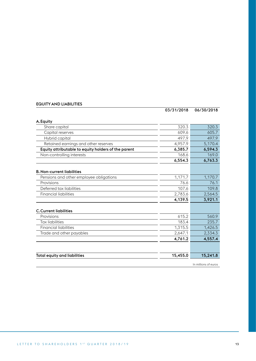## EQUITY AND LIABILITIES

|                                                     | 03/31/2018 | 06/30/2018           |
|-----------------------------------------------------|------------|----------------------|
| A. Equity                                           |            |                      |
| Share capital                                       | 320.3      | 320.3                |
| Capital reserves                                    | 609.6      | 605.7                |
| Hybrid capital                                      | 497.9      | 497.9                |
| Retained earnings and other reserves                | 4,957.9    | 5,170.4              |
| Equity attributable to equity holders of the parent | 6,385.7    | 6,594.3              |
| Non-controlling interests                           | 168.6      | 169.0                |
|                                                     | 6,554.3    | 6,763.3              |
| <b>B. Non-current liabilities</b>                   |            |                      |
| Pensions and other employee obligations             | 1,171.7    | 1,170.7              |
| Provisions                                          | 76.6       | 76.1                 |
| Deferred tax liabilities                            | 107.6      | 109.8                |
| <b>Financial liabilities</b>                        | 2,783.6    | 2,564.5              |
|                                                     | 4,139.5    | 3,921.1              |
| <b>C. Current liabilities</b>                       |            |                      |
| Provisions                                          | 615.2      | 560.9                |
| <b>Tax liabilities</b>                              | 183.4      | 235.7                |
| <b>Financial liabilities</b>                        | 1,315.5    | 1,426.5              |
| Trade and other payables                            | 2,647.1    | 2,334.3              |
|                                                     | 4,761.2    | 4,557.4              |
|                                                     |            |                      |
| <b>Total equity and liabilities</b>                 | 15,455.0   | 15,241.8             |
|                                                     |            | In millions of euros |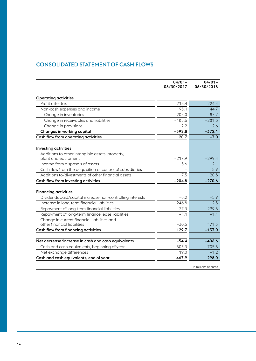## CONSOLIDATED STATEMENT OF CASH FLOWS

|                                                                            | $04/01 -$<br>06/30/2017 | $04/01 -$<br>06/30/2018 |
|----------------------------------------------------------------------------|-------------------------|-------------------------|
| <b>Operating activities</b>                                                |                         |                         |
| Profit after tax                                                           | 218.4                   | 224.4                   |
| Non-cash expenses and income                                               | 195.1                   | 144.7                   |
| Change in inventories                                                      | $-205.0$                | $-87.7$                 |
| Change in receivables and liabilities                                      | $-185.6$                | $-281.8$                |
| Change in provisions                                                       | $-2.2$                  | $-2.6$                  |
| Changes in working capital                                                 | $-392.8$                | $-372.1$                |
| Cash flow from operating activities                                        | 20.7                    | $-3.0$                  |
| <b>Investing activities</b>                                                |                         |                         |
| Additions to other intangible assets, property,                            |                         |                         |
| plant and equipment                                                        | $-217.9$                | $-299.4$                |
| Income from disposals of assets                                            | 5.6                     | 2.1                     |
| Cash flow from the acquisition of control of subsidiaries                  |                         | 5.9                     |
| Additions to/divestments of other financial assets                         | 7.5                     | 20.8                    |
| Cash flow from investing activities                                        | $-204.8$                | $-270.6$                |
| <b>Financing activities</b>                                                |                         |                         |
| Dividends paid/capital increase non-controlling interests                  | $-8.2$                  | $-5.9$                  |
| Increase in long-term financial liabilities                                | 246.8                   | 2.5                     |
| Repayment of long-term financial liabilities                               | $-77.3$                 | $-299.8$                |
| Repayment of long-term finance lease liabilities                           | $-1.1$                  | $-1.1$                  |
| Change in current financial liabilities and<br>other financial liabilities | $-30.5$                 | 171.3                   |
| Cash flow from financing activities                                        | 129.7                   | $-133.0$                |
|                                                                            |                         |                         |
| Net decrease/increase in cash and cash equivalents                         | $-54.4$                 | $-406.6$                |
| Cash and cash equivalents, beginning of year                               | 503.3                   | 705.8                   |
| Net exchange differences                                                   | 19.0                    | $-1.2$                  |
| Cash and cash equivalents, end of year                                     | 467.9                   | 298.0                   |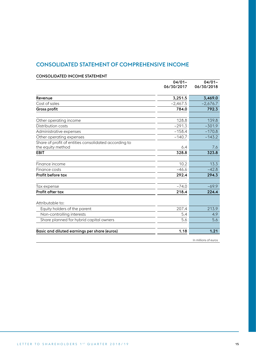## CONSOLIDATED STATEMENT OF COMPREHENSIVE INCOME

|                                                                            | $04/01 -$<br>06/30/2017 | $04/01 -$<br>06/30/2018 |
|----------------------------------------------------------------------------|-------------------------|-------------------------|
| Revenue                                                                    | 3,251.5                 | 3,469.0                 |
| Cost of sales                                                              | $-2,467.5$              | $-2,676.7$              |
| <b>Gross profit</b>                                                        | 784.0                   | 792.3                   |
| Other operating income                                                     | 128.8                   | 139.8                   |
| Distribution costs                                                         | $-291.3$                | $-301.9$                |
| Administrative expenses                                                    | $-158.4$                | $-170.8$                |
| Other operating expenses                                                   | $-140.7$                | $-143.2$                |
| Share of profit of entities consolidated according to<br>the equity method | 6.4                     | 7.6                     |
| EBIT                                                                       | 328.8                   | 323.8                   |
|                                                                            |                         |                         |
| Finance income                                                             | 10.2                    | 13.3                    |
| Finance costs                                                              | $-46.6$                 | $-42.8$                 |
| Profit before tax                                                          | 292.4                   | 294.3                   |
| Tax expense                                                                | $-74.0$                 | $-69.9$                 |
| Profit after tax                                                           | 218.4                   | 224.4                   |
|                                                                            |                         |                         |
| Attributable to:                                                           |                         |                         |
| Equity holders of the parent                                               | 207.4                   | 213.9                   |
| Non-controlling interests                                                  | 5.4                     | 4.9                     |
| Share planned for hybrid capital owners                                    | 5.6                     | 5.6                     |
|                                                                            |                         |                         |
| Basic and diluted earnings per share (euros)                               | 1.18                    | 1.21                    |

#### CONSOLIDATED INCOME STATEMENT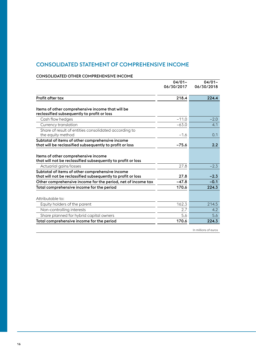## CONSOLIDATED STATEMENT OF COMPREHENSIVE INCOME

### CONSOLIDATED OTHER COMPREHENSIVE INCOME

|                                                                                                                 | $04/01 -$<br>06/30/2017 | $04/01 -$<br>06/30/2018 |
|-----------------------------------------------------------------------------------------------------------------|-------------------------|-------------------------|
|                                                                                                                 |                         |                         |
| <b>Profit after tax</b>                                                                                         | 218.4                   | 224.4                   |
|                                                                                                                 |                         |                         |
| Items of other comprehensive income that will be<br>reclassified subsequently to profit or loss                 |                         |                         |
| Cash flow hedges                                                                                                | $-11.0$                 | $-2.0$                  |
| Currency translation                                                                                            | $-63.0$                 | 4.1                     |
| Share of result of entities consolidated according to<br>the equity method                                      | $-1.6$                  | 0.1                     |
| Subtotal of items of other comprehensive income<br>that will be reclassified subsequently to profit or loss     | $-75.6$                 | 2.2                     |
| Items of other comprehensive income<br>that will not be reclassified subsequently to profit or loss             |                         |                         |
| Actuarial gains/losses                                                                                          | 27.8                    | $-2.3$                  |
| Subtotal of items of other comprehensive income<br>that will not be reclassified subsequently to profit or loss | 27.8                    | $-2.3$                  |
| Other comprehensive income for the period, net of income tax                                                    | $-47.8$                 | $-0.1$                  |
| Total comprehensive income for the period                                                                       | 170.6                   | 224.3                   |
|                                                                                                                 |                         |                         |
| Attributable to:                                                                                                |                         |                         |
| Equity holders of the parent                                                                                    | 162.3                   | 214.5                   |
| Non-controlling interests                                                                                       | 2.7                     | 4.2                     |
| Share planned for hybrid capital owners                                                                         | 5.6                     | 5.6                     |
| Total comprehensive income for the period                                                                       | 170.6                   | 224.3                   |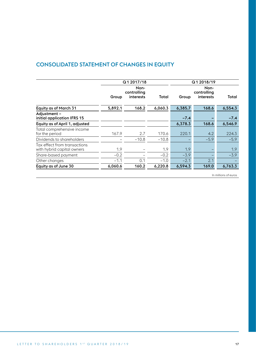## CONSOLIDATED STATEMENT OF CHANGES IN EQUITY

|                                                            | Q12017/18 |                                  |         | Q12018/19 |                                         |         |
|------------------------------------------------------------|-----------|----------------------------------|---------|-----------|-----------------------------------------|---------|
|                                                            | Group     | Non-<br>controlling<br>interests | Total   | Group     | Non-<br>controlling<br><b>interests</b> | Total   |
| <b>Equity as of March 31</b>                               | 5,892.1   | 168.2                            | 6,060.3 | 6,385.7   | 168.6                                   | 6,554.3 |
| Adjustment -<br>initial application IFRS 15                |           |                                  |         | $-7.4$    |                                         | $-7.4$  |
| Equity as of April 1, adjusted                             |           |                                  |         | 6,378.3   | 168.6                                   | 6,546.9 |
| Total comprehensive income<br>for the period               | 167.9     | 2.7                              | 170.6   | 220.1     | 4.2                                     | 224.3   |
| Dividends to shareholders                                  |           | $-10.8$                          | $-10.8$ |           | $-5.9$                                  | $-5.9$  |
| Tax effect from transactions<br>with hybrid capital owners | 1.9       |                                  | 1.9     | 1.9       |                                         | 1.9     |
| Share-based payment                                        | $-0.2$    |                                  | $-0.2$  | $-3.9$    |                                         | $-3.9$  |
| Other changes                                              | $-1.1$    | 0.1                              | $-1.0$  | $-2.1$    | 2.1                                     |         |
| Equity as of June 30                                       | 6,060.6   | 160.2                            | 6,220.8 | 6,594.3   | 169.0                                   | 6,763.3 |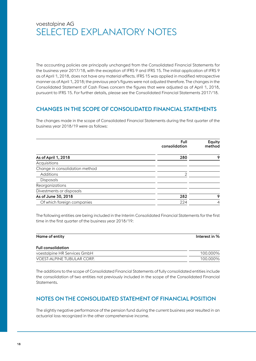# voestalpine AG SELECTED EXPLANATORY NOTES

The accounting policies are principally unchanged from the Consolidated Financial Statements for the business year 2017/18, with the exception of IFRS 9 and IFRS 15. The initial application of IFRS 9 as of April 1, 2018, does not have any material effects. IFRS 15 was applied in modified retrospective manner as of April 1, 2018; the previous year's figures were not adjusted therefore. The changes in the Consolidated Statement of Cash Flows concern the figures that were adjusted as of April 1, 2018, pursuant to IFRS 15. For further details, please see the Consolidated Financial Statements 2017/18.

## CHANGES IN THE SCOPE OF CONSOLIDATED FINANCIAL STATEMENTS

The changes made in the scope of Consolidated Financial Statements during the first quarter of the business year 2018/19 were as follows:

|                                | Full<br>consolidation | Equity<br>method |
|--------------------------------|-----------------------|------------------|
| As of April 1, 2018            | 280                   | 9                |
| Acquisitions                   |                       |                  |
| Change in consolidation method |                       |                  |
| Additions                      | 2                     |                  |
| <b>Disposals</b>               |                       |                  |
| Reorganizations                |                       |                  |
| Divestments or disposals       |                       |                  |
| As of June 30, 2018            | 282                   | 9                |
| Of which foreign companies     | 224                   | 4                |
|                                |                       |                  |

The following entities are being included in the Interim Consolidated Financial Statements for the first time in the first quarter of the business year 2018/19:

| Name of entity            | Interest in % |
|---------------------------|---------------|
| <b>Full consolidation</b> |               |
|                           |               |

| voestalpine HR Services GmbH | 100.000% |
|------------------------------|----------|
| VOEST-ALPINE TUBULAR CORP.   | 100.000% |

The additions to the scope of Consolidated Financial Statements of fully consolidated entities include the consolidation of two entities not previously included in the scope of the Consolidated Financial Statements.

## NOTES ON THE CONSOLIDATED STATEMENT OF FINANCIAL POSITION

The slightly negative performance of the pension fund during the current business year resulted in an actuarial loss recognized in the other comprehensive income.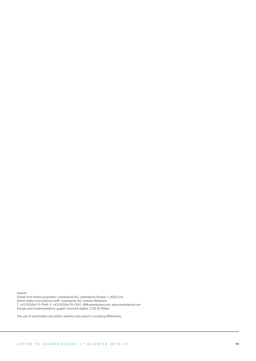Imprint

Owner and media proprietor: voestalpine AG, voestalpine-Strasse 1, 4020 Linz Senior editor and editorial staff: voestalpine AG, Investor Relations T. +43/50304/15-9949, F. +43/50304/55-5581, IR@voestalpine.com, www.voestalpine.com Design and implementation: gugler\* brand & digital, 3100 St.Pölten

The use of automated calculation systems may result in rounding differences.